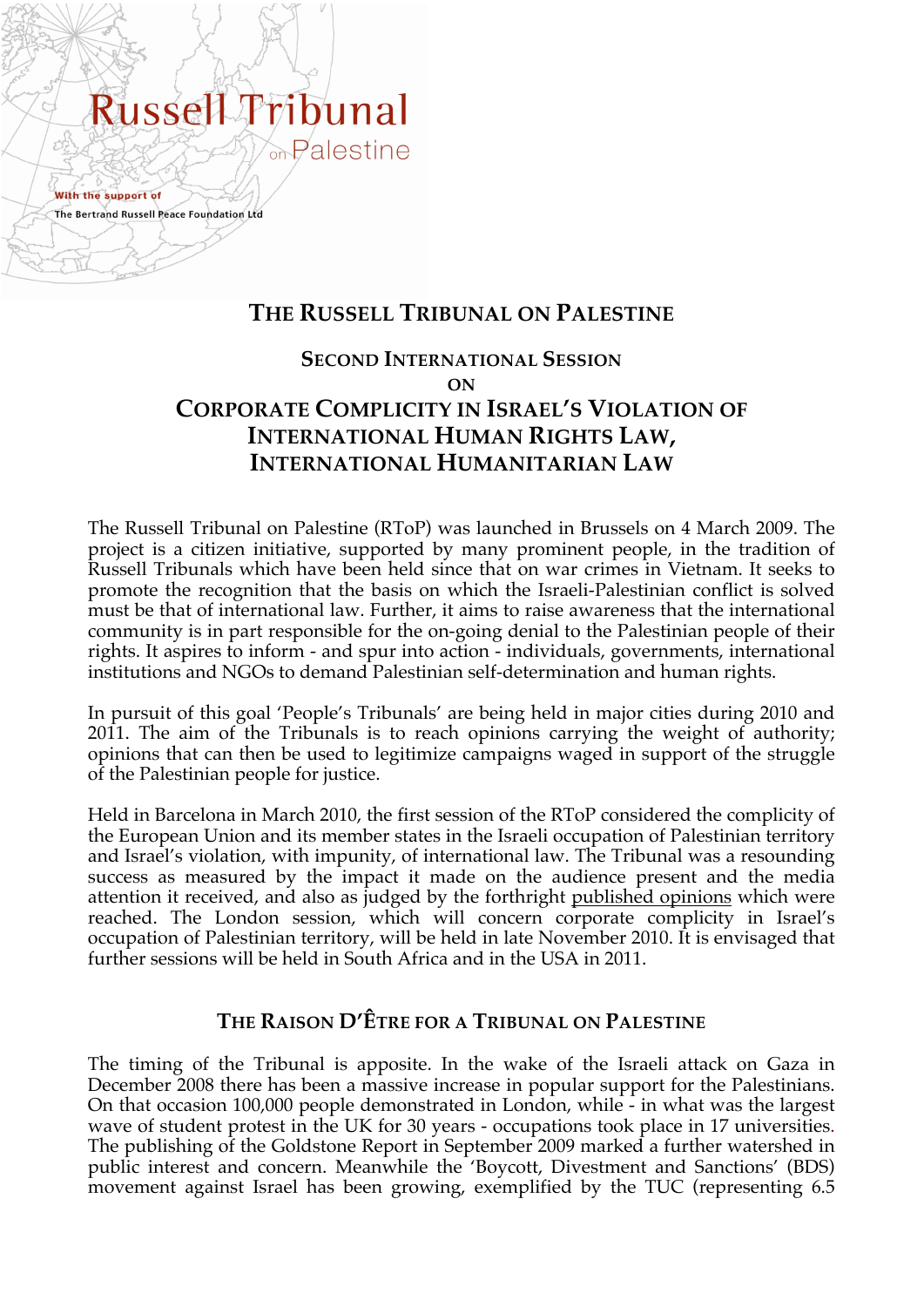# Russell Fribunal Palestine

With the support of The Bertrand Russell Peace Foundation Ltd

# **THE RUSSELL TRIBUNAL ON PALESTINE**

# **SECOND INTERNATIONAL SESSION ON CORPORATE COMPLICITY IN ISRAEL'S VIOLATION OF INTERNATIONAL HUMAN RIGHTS LAW, INTERNATIONAL HUMANITARIAN LAW**

The Russell Tribunal on Palestine (RToP) was launched in Brussels on 4 March 2009. The project is a citizen initiative, supported by many prominent people, in the tradition of Russell Tribunals which have been held since that on war crimes in Vietnam. It seeks to promote the recognition that the basis on which the Israeli-Palestinian conflict is solved must be that of international law. Further, it aims to raise awareness that the international community is in part responsible for the on-going denial to the Palestinian people of their rights. It aspires to inform - and spur into action - individuals, governments, international institutions and NGOs to demand Palestinian self-determination and human rights.

In pursuit of this goal 'People's Tribunals' are being held in major cities during 2010 and 2011. The aim of the Tribunals is to reach opinions carrying the weight of authority; opinions that can then be used to legitimize campaigns waged in support of the struggle of the Palestinian people for justice.

Held in Barcelona in March 2010, the first session of the RToP considered the complicity of the European Union and its member states in the Israeli occupation of Palestinian territory and Israel's violation, with impunity, of international law. The Tribunal was a resounding success as measured by the impact it made on the audience present and the media attention it received, and also as judged by the forthright published opinions which were reached. The London session, which will concern corporate complicity in Israel's occupation of Palestinian territory, will be held in late November 2010. It is envisaged that further sessions will be held in South Africa and in the USA in 2011.

# **THE RAISON D'ÊTRE FOR A TRIBUNAL ON PALESTINE**

The timing of the Tribunal is apposite. In the wake of the Israeli attack on Gaza in December 2008 there has been a massive increase in popular support for the Palestinians. On that occasion 100,000 people demonstrated in London, while - in what was the largest wave of student protest in the UK for 30 years - occupations took place in 17 universities. The publishing of the Goldstone Report in September 2009 marked a further watershed in public interest and concern. Meanwhile the 'Boycott, Divestment and Sanctions' (BDS) movement against Israel has been growing, exemplified by the TUC (representing 6.5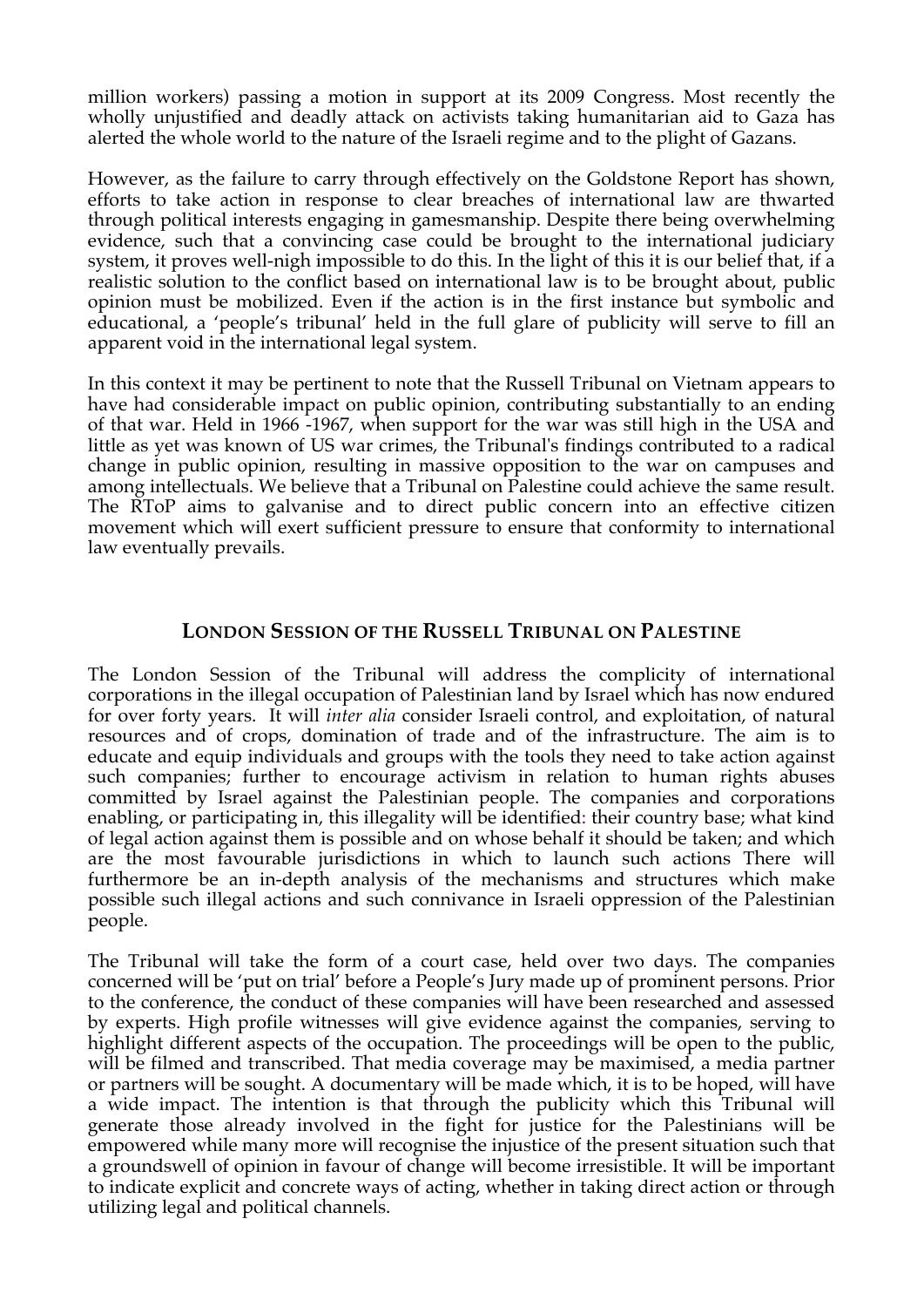million workers) passing a motion in support at its 2009 Congress. Most recently the wholly unjustified and deadly attack on activists taking humanitarian aid to Gaza has alerted the whole world to the nature of the Israeli regime and to the plight of Gazans.

However, as the failure to carry through effectively on the Goldstone Report has shown, efforts to take action in response to clear breaches of international law are thwarted through political interests engaging in gamesmanship. Despite there being overwhelming evidence, such that a convincing case could be brought to the international judiciary system, it proves well-nigh impossible to do this. In the light of this it is our belief that, if a realistic solution to the conflict based on international law is to be brought about, public opinion must be mobilized. Even if the action is in the first instance but symbolic and educational, a 'people's tribunal' held in the full glare of publicity will serve to fill an apparent void in the international legal system.

In this context it may be pertinent to note that the Russell Tribunal on Vietnam appears to have had considerable impact on public opinion, contributing substantially to an ending of that war. Held in 1966 -1967, when support for the war was still high in the USA and little as yet was known of US war crimes, the Tribunal's findings contributed to a radical change in public opinion, resulting in massive opposition to the war on campuses and among intellectuals. We believe that a Tribunal on Palestine could achieve the same result. The RToP aims to galvanise and to direct public concern into an effective citizen movement which will exert sufficient pressure to ensure that conformity to international law eventually prevails.

## **LONDON SESSION OF THE RUSSELL TRIBUNAL ON PALESTINE**

The London Session of the Tribunal will address the complicity of international corporations in the illegal occupation of Palestinian land by Israel which has now endured for over forty years. It will *inter alia* consider Israeli control, and exploitation, of natural resources and of crops, domination of trade and of the infrastructure. The aim is to educate and equip individuals and groups with the tools they need to take action against such companies; further to encourage activism in relation to human rights abuses committed by Israel against the Palestinian people. The companies and corporations enabling, or participating in, this illegality will be identified: their country base; what kind of legal action against them is possible and on whose behalf it should be taken; and which are the most favourable jurisdictions in which to launch such actions There will furthermore be an in-depth analysis of the mechanisms and structures which make possible such illegal actions and such connivance in Israeli oppression of the Palestinian people.

The Tribunal will take the form of a court case, held over two days. The companies concerned will be 'put on trial' before a People's Jury made up of prominent persons. Prior to the conference, the conduct of these companies will have been researched and assessed by experts. High profile witnesses will give evidence against the companies, serving to highlight different aspects of the occupation. The proceedings will be open to the public, will be filmed and transcribed. That media coverage may be maximised, a media partner or partners will be sought. A documentary will be made which, it is to be hoped, will have a wide impact. The intention is that through the publicity which this Tribunal will generate those already involved in the fight for justice for the Palestinians will be empowered while many more will recognise the injustice of the present situation such that a groundswell of opinion in favour of change will become irresistible. It will be important to indicate explicit and concrete ways of acting, whether in taking direct action or through utilizing legal and political channels.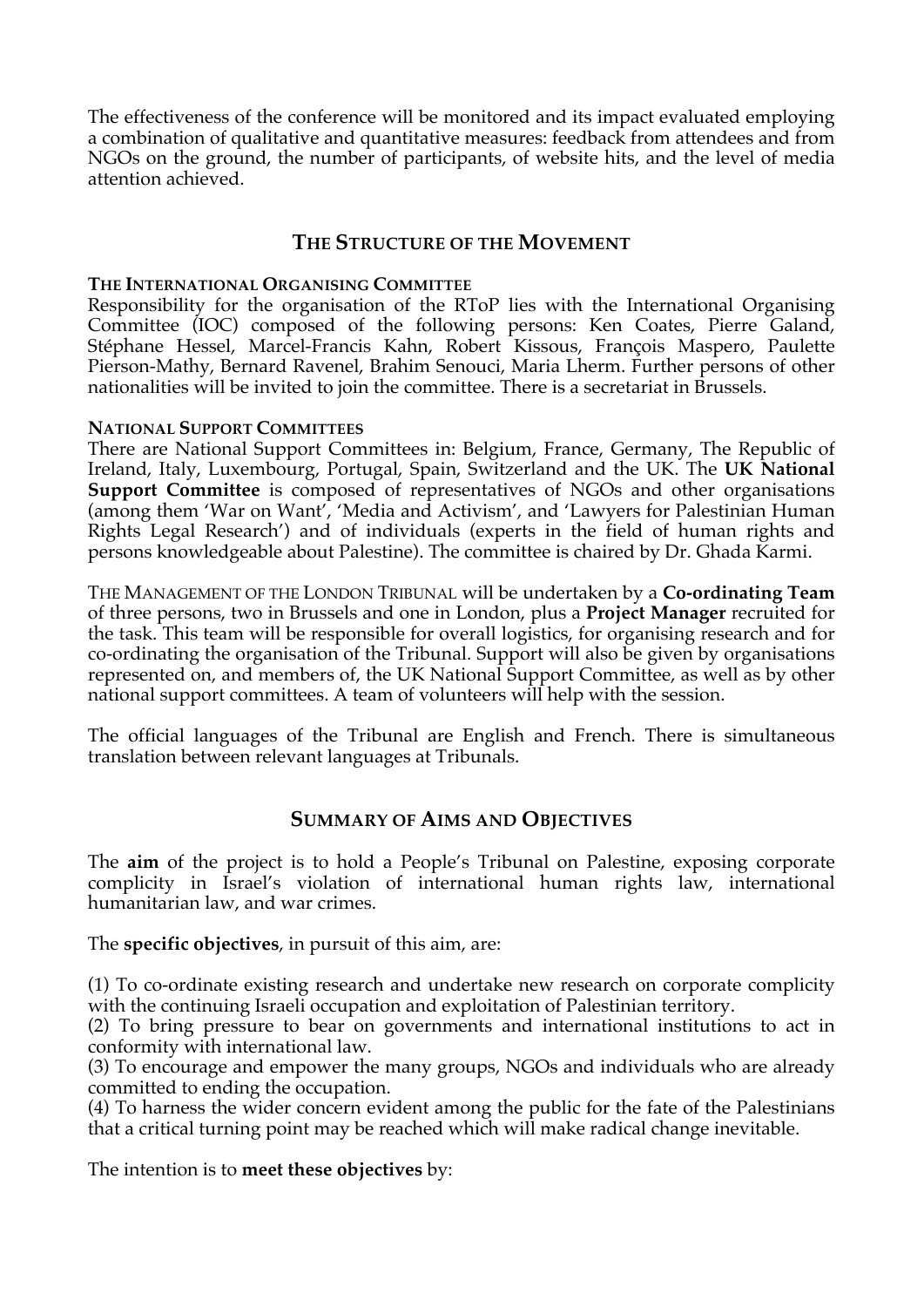The effectiveness of the conference will be monitored and its impact evaluated employing a combination of qualitative and quantitative measures: feedback from attendees and from NGOs on the ground, the number of participants, of website hits, and the level of media attention achieved.

## **THE STRUCTURE OF THE MOVEMENT**

#### **THE INTERNATIONAL ORGANISING COMMITTEE**

Responsibility for the organisation of the RToP lies with the International Organising Committee (IOC) composed of the following persons: Ken Coates, Pierre Galand, Stéphane Hessel, Marcel-Francis Kahn, Robert Kissous, François Maspero, Paulette Pierson-Mathy, Bernard Ravenel, Brahim Senouci, Maria Lherm. Further persons of other nationalities will be invited to join the committee. There is a secretariat in Brussels.

#### **NATIONAL SUPPORT COMMITTEES**

There are National Support Committees in: Belgium, France, Germany, The Republic of Ireland, Italy, Luxembourg, Portugal, Spain, Switzerland and the UK. The **UK National Support Committee** is composed of representatives of NGOs and other organisations (among them 'War on Want', 'Media and Activism', and 'Lawyers for Palestinian Human Rights Legal Research') and of individuals (experts in the field of human rights and persons knowledgeable about Palestine). The committee is chaired by Dr. Ghada Karmi.

THE MANAGEMENT OF THE LONDON TRIBUNAL will be undertaken by a **Co-ordinating Team** of three persons, two in Brussels and one in London, plus a **Project Manager** recruited for the task. This team will be responsible for overall logistics, for organising research and for co-ordinating the organisation of the Tribunal. Support will also be given by organisations represented on, and members of, the UK National Support Committee, as well as by other national support committees. A team of volunteers will help with the session.

The official languages of the Tribunal are English and French. There is simultaneous translation between relevant languages at Tribunals.

## **SUMMARY OF AIMS AND OBJECTIVES**

The **aim** of the project is to hold a People's Tribunal on Palestine, exposing corporate complicity in Israel's violation of international human rights law, international humanitarian law, and war crimes.

The **specific objectives**, in pursuit of this aim, are:

(1) To co-ordinate existing research and undertake new research on corporate complicity with the continuing Israeli occupation and exploitation of Palestinian territory.

(2) To bring pressure to bear on governments and international institutions to act in conformity with international law.

(3) To encourage and empower the many groups, NGOs and individuals who are already committed to ending the occupation.

(4) To harness the wider concern evident among the public for the fate of the Palestinians that a critical turning point may be reached which will make radical change inevitable.

The intention is to **meet these objectives** by: